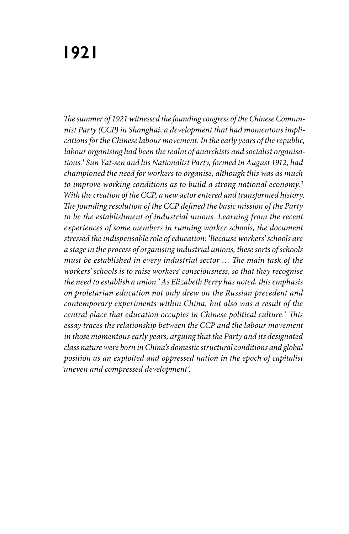# **1921**

*The summer of 1921 witnessed the founding congress of the Chinese Communist Party (CCP) in Shanghai, a development that had momentous implications for the Chinese labour movement. In the early years of the republic, labour organising had been the realm of anarchists and socialist organisations.1 Sun Yat-sen and his Nationalist Party, formed in August 1912, had championed the need for workers to organise, although this was as much to improve working conditions as to build a strong national economy.2 With the creation of the CCP, a new actor entered and transformed history. The founding resolution of the CCP defined the basic mission of the Party to be the establishment of industrial unions. Learning from the recent experiences of some members in running worker schools, the document stressed the indispensable role of education: 'Because workers' schools are a stage in the process of organising industrial unions, these sorts of schools must be established in every industrial sector … The main task of the workers' schools is to raise workers' consciousness, so that they recognise the need to establish a union.' As Elizabeth Perry has noted, this emphasis on proletarian education not only drew on the Russian precedent and contemporary experiments within China, but also was a result of the central place that education occupies in Chinese political culture.3 This essay traces the relationship between the CCP and the labour movement in those momentous early years, arguing that the Party and its designated class nature were born in China's domestic structural conditions and global position as an exploited and oppressed nation in the epoch of capitalist 'uneven and compressed development'.*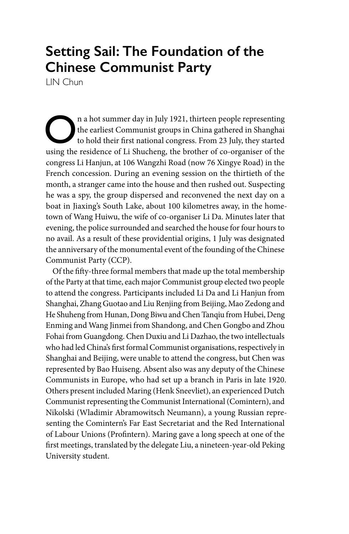## **Setting Sail: The Foundation of the Chinese Communist Party**

LIN Chun

The earliest Communist groups in China gathered in Shanghai to hold their first national congress. From 23 July, they started using the residence of Li Shucheng the brother of  $\epsilon$  o examiser of the the earliest Communist groups in China gathered in Shanghai using the residence of Li Shucheng, the brother of co-organiser of the congress Li Hanjun, at 106 Wangzhi Road (now 76 Xingye Road) in the French concession. During an evening session on the thirtieth of the month, a stranger came into the house and then rushed out. Suspecting he was a spy, the group dispersed and reconvened the next day on a boat in Jiaxing's South Lake, about 100 kilometres away, in the hometown of Wang Huiwu, the wife of co-organiser Li Da. Minutes later that evening, the police surrounded and searched the house for four hours to no avail. As a result of these providential origins, 1 July was designated the anniversary of the monumental event of the founding of the Chinese Communist Party (CCP).

Of the fifty-three formal members that made up the total membership of the Party at that time, each major Communist group elected two people to attend the congress. Participants included Li Da and Li Hanjun from Shanghai, Zhang Guotao and Liu Renjing from Beijing, Mao Zedong and He Shuheng from Hunan, Dong Biwu and Chen Tanqiu from Hubei, Deng Enming and Wang Jinmei from Shandong, and Chen Gongbo and Zhou Fohai from Guangdong. Chen Duxiu and Li Dazhao, the two intellectuals who had led China's first formal Communist organisations, respectively in Shanghai and Beijing, were unable to attend the congress, but Chen was represented by Bao Huiseng. Absent also was any deputy of the Chinese Communists in Europe, who had set up a branch in Paris in late 1920. Others present included Maring (Henk Sneevliet), an experienced Dutch Communist representing the Communist International (Comintern), and Nikolski (Wladimir Abramowitsch Neumann), a young Russian representing the Comintern's Far East Secretariat and the Red International of Labour Unions (Profintern). Maring gave a long speech at one of the first meetings, translated by the delegate Liu, a nineteen-year-old Peking University student.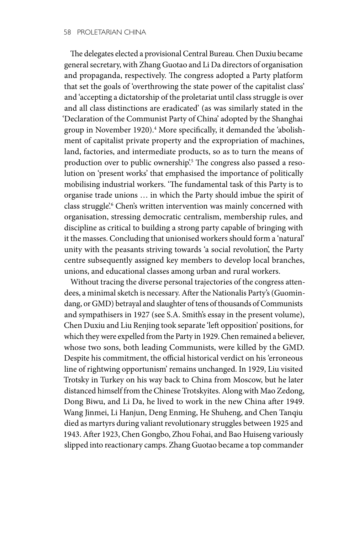The delegates elected a provisional Central Bureau. Chen Duxiu became general secretary, with Zhang Guotao and Li Da directors of organisation and propaganda, respectively. The congress adopted a Party platform that set the goals of 'overthrowing the state power of the capitalist class' and 'accepting a dictatorship of the proletariat until class struggle is over and all class distinctions are eradicated' (as was similarly stated in the 'Declaration of the Communist Party of China' adopted by the Shanghai group in November 1920).<sup>4</sup> More specifically, it demanded the 'abolishment of capitalist private property and the expropriation of machines, land, factories, and intermediate products, so as to turn the means of production over to public ownership?<sup>5</sup> The congress also passed a resolution on 'present works' that emphasised the importance of politically mobilising industrial workers. 'The fundamental task of this Party is to organise trade unions … in which the Party should imbue the spirit of class struggle'.<sup>6</sup> Chen's written intervention was mainly concerned with organisation, stressing democratic centralism, membership rules, and discipline as critical to building a strong party capable of bringing with it the masses. Concluding that unionised workers should form a 'natural' unity with the peasants striving towards 'a social revolution', the Party centre subsequently assigned key members to develop local branches, unions, and educational classes among urban and rural workers.

Without tracing the diverse personal trajectories of the congress attendees, a minimal sketch is necessary. After the Nationalis Party's (Guomindang, or GMD) betrayal and slaughter of tens of thousands of Communists and sympathisers in 1927 (see S.A. Smith's essay in the present volume), Chen Duxiu and Liu Renjing took separate 'left opposition' positions, for which they were expelled from the Party in 1929. Chen remained a believer, whose two sons, both leading Communists, were killed by the GMD. Despite his commitment, the official historical verdict on his 'erroneous line of rightwing opportunism' remains unchanged. In 1929, Liu visited Trotsky in Turkey on his way back to China from Moscow, but he later distanced himself from the Chinese Trotskyites. Along with Mao Zedong, Dong Biwu, and Li Da, he lived to work in the new China after 1949. Wang Jinmei, Li Hanjun, Deng Enming, He Shuheng, and Chen Tanqiu died as martyrs during valiant revolutionary struggles between 1925 and 1943. After 1923, Chen Gongbo, Zhou Fohai, and Bao Huiseng variously slipped into reactionary camps. Zhang Guotao became a top commander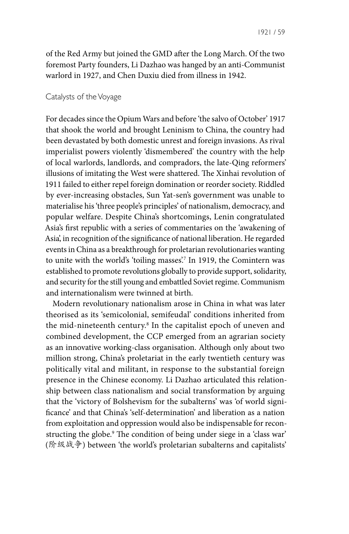of the Red Army but joined the GMD after the Long March. Of the two foremost Party founders, Li Dazhao was hanged by an anti-Communist warlord in 1927, and Chen Duxiu died from illness in 1942.

#### Catalysts of the Voyage

For decades since the Opium Wars and before 'the salvo of October' 1917 that shook the world and brought Leninism to China, the country had been devastated by both domestic unrest and foreign invasions. As rival imperialist powers violently 'dismembered' the country with the help of local warlords, landlords, and compradors, the late-Qing reformers' illusions of imitating the West were shattered. The Xinhai revolution of 1911 failed to either repel foreign domination or reorder society. Riddled by ever-increasing obstacles, Sun Yat-sen's government was unable to materialise his 'three people's principles' of nationalism, democracy, and popular welfare. Despite China's shortcomings, Lenin congratulated Asia's first republic with a series of commentaries on the 'awakening of Asia', in recognition of the significance of national liberation. He regarded events in China as a breakthrough for proletarian revolutionaries wanting to unite with the world's 'toiling masses'.7 In 1919, the Comintern was established to promote revolutions globally to provide support, solidarity, and security for the still young and embattled Soviet regime. Communism and internationalism were twinned at birth.

Modern revolutionary nationalism arose in China in what was later theorised as its 'semicolonial, semifeudal' conditions inherited from the mid-nineteenth century.8 In the capitalist epoch of uneven and combined development, the CCP emerged from an agrarian society as an innovative working-class organisation. Although only about two million strong, China's proletariat in the early twentieth century was politically vital and militant, in response to the substantial foreign presence in the Chinese economy. Li Dazhao articulated this relationship between class nationalism and social transformation by arguing that the 'victory of Bolshevism for the subalterns' was 'of world significance' and that China's 'self-determination' and liberation as a nation from exploitation and oppression would also be indispensable for reconstructing the globe.9 The condition of being under siege in a 'class war' (阶级战争) between 'the world's proletarian subalterns and capitalists'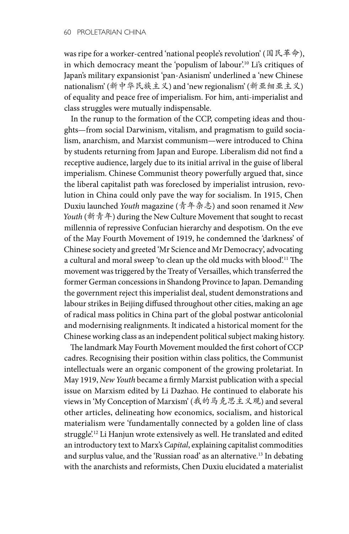was ripe for a worker-centred 'national people's revolution' (国民革命), in which democracy meant the 'populism of labour'.10 Li's critiques of Japan's military expansionist 'pan-Asianism' underlined a 'new Chinese nationalism' (新中华民族主义) and 'new regionalism' (新亚细亚主义) of equality and peace free of imperialism. For him, anti-imperialist and class struggles were mutually indispensable.

In the runup to the formation of the CCP, competing ideas and thoughts—from social Darwinism, vitalism, and pragmatism to guild socialism, anarchism, and Marxist communism—were introduced to China by students returning from Japan and Europe. Liberalism did not find a receptive audience, largely due to its initial arrival in the guise of liberal imperialism. Chinese Communist theory powerfully argued that, since the liberal capitalist path was foreclosed by imperialist intrusion, revolution in China could only pave the way for socialism. In 1915, Chen Duxiu launched *Youth* magazine (青年杂志) and soon renamed it *New Youth* (新青年) during the New Culture Movement that sought to recast millennia of repressive Confucian hierarchy and despotism. On the eve of the May Fourth Movement of 1919, he condemned the 'darkness' of Chinese society and greeted 'Mr Science and Mr Democracy', advocating a cultural and moral sweep 'to clean up the old mucks with blood'.11 The movement was triggered by the Treaty of Versailles, which transferred the former German concessions in Shandong Province to Japan. Demanding the government reject this imperialist deal, student demonstrations and labour strikes in Beijing diffused throughout other cities, making an age of radical mass politics in China part of the global postwar anticolonial and modernising realignments. It indicated a historical moment for the Chinese working class as an independent political subject making history.

The landmark May Fourth Movement moulded the first cohort of CCP cadres. Recognising their position within class politics, the Communist intellectuals were an organic component of the growing proletariat. In May 1919, *New Youth* became a firmly Marxist publication with a special issue on Marxism edited by Li Dazhao. He continued to elaborate his views in 'My Conception of Marxism' (我的马克思主义观) and several other articles, delineating how economics, socialism, and historical materialism were 'fundamentally connected by a golden line of class struggle'.<sup>12</sup> Li Hanjun wrote extensively as well. He translated and edited an introductory text to Marx's *Capital*, explaining capitalist commodities and surplus value, and the 'Russian road' as an alternative.13 In debating with the anarchists and reformists, Chen Duxiu elucidated a materialist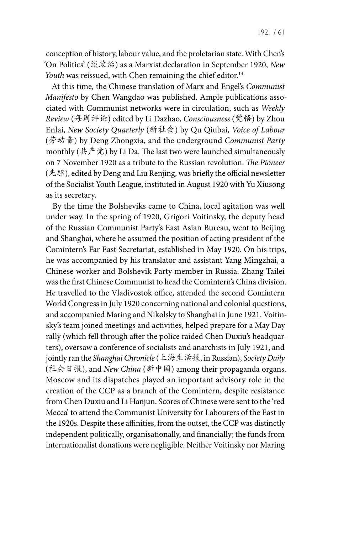1921 / 61

conception of history, labour value, and the proletarian state. With Chen's 'On Politics' (谈政治) as a Marxist declaration in September 1920, *New Youth* was reissued, with Chen remaining the chief editor.<sup>14</sup>

At this time, the Chinese translation of Marx and Engel's *Communist Manifesto* by Chen Wangdao was published. Ample publications associated with Communist networks were in circulation, such as *Weekly Review* (每周评论) edited by Li Dazhao, *Consciousness* (觉悟) by Zhou Enlai, *New Society Quarterly* (新社会) by Qu Qiubai, *Voice of Labour* (劳动音) by Deng Zhongxia, and the underground *Communist Party*  monthly (共产党) by Li Da. The last two were launched simultaneously on 7 November 1920 as a tribute to the Russian revolution. *The Pioneer* (先驱), edited by Deng and Liu Renjing, was briefly the official newsletter of the Socialist Youth League, instituted in August 1920 with Yu Xiusong as its secretary.

By the time the Bolsheviks came to China, local agitation was well under way. In the spring of 1920, Grigori Voitinsky, the deputy head of the Russian Communist Party's East Asian Bureau, went to Beijing and Shanghai, where he assumed the position of acting president of the Comintern's Far East Secretariat, established in May 1920. On his trips, he was accompanied by his translator and assistant Yang Mingzhai, a Chinese worker and Bolshevik Party member in Russia. Zhang Tailei was the first Chinese Communist to head the Comintern's China division. He travelled to the Vladivostok office, attended the second Comintern World Congress in July 1920 concerning national and colonial questions, and accompanied Maring and Nikolsky to Shanghai in June 1921. Voitinsky's team joined meetings and activities, helped prepare for a May Day rally (which fell through after the police raided Chen Duxiu's headquarters), oversaw a conference of socialists and anarchists in July 1921, and jointly ran the *Shanghai Chronicle* (上海生活报, in Russian), *Society Daily* (社会日报), and *New China* (新中国) among their propaganda organs. Moscow and its dispatches played an important advisory role in the creation of the CCP as a branch of the Comintern, despite resistance from Chen Duxiu and Li Hanjun. Scores of Chinese were sent to the 'red Mecca' to attend the Communist University for Labourers of the East in the 1920s. Despite these affinities, from the outset, the CCP was distinctly independent politically, organisationally, and financially; the funds from internationalist donations were negligible. Neither Voitinsky nor Maring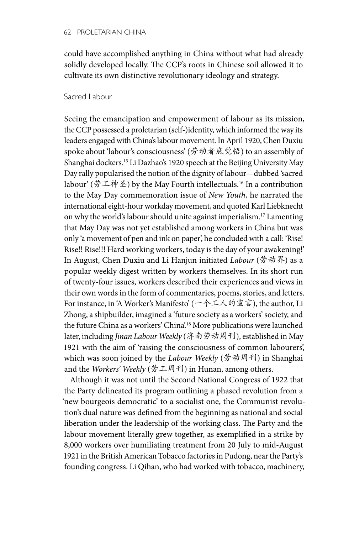could have accomplished anything in China without what had already solidly developed locally. The CCP's roots in Chinese soil allowed it to cultivate its own distinctive revolutionary ideology and strategy.

### Sacred Labour

Seeing the emancipation and empowerment of labour as its mission, the CCP possessed a proletarian (self-)identity, which informed the way its leaders engaged with China's labour movement. In April 1920, Chen Duxiu spoke about 'labour's consciousness' (劳动者底觉悟) to an assembly of Shanghai dockers.15 Li Dazhao's 1920 speech at the Beijing University May Day rally popularised the notion of the dignity of labour—dubbed 'sacred labour' (劳工神圣) by the May Fourth intellectuals.16 In a contribution to the May Day commemoration issue of *New Youth*, he narrated the international eight-hour workday movement, and quoted Karl Liebknecht on why the world's labour should unite against imperialism.17 Lamenting that May Day was not yet established among workers in China but was only 'a movement of pen and ink on paper', he concluded with a call: 'Rise! Rise!! Rise!!! Hard working workers, today is the day of your awakening!' In August, Chen Duxiu and Li Hanjun initiated *Labour* (劳动界) as a popular weekly digest written by workers themselves. In its short run of twenty-four issues, workers described their experiences and views in their own words in the form of commentaries, poems, stories, and letters. For instance, in 'A Worker's Manifesto' (一个工人的宣言), the author, Li Zhong, a shipbuilder, imagined a 'future society as a workers' society, and the future China as a workers' China'.<sup>18</sup> More publications were launched later, including *Jinan Labour Weekly* (济南劳动周刊), established in May 1921 with the aim of 'raising the consciousness of common labourers', which was soon joined by the *Labour Weekly* (劳动周刊) in Shanghai and the *Workers' Weekly* (劳工周刊) in Hunan, among others.

Although it was not until the Second National Congress of 1922 that the Party delineated its program outlining a phased revolution from a 'new bourgeois democratic' to a socialist one, the Communist revolution's dual nature was defined from the beginning as national and social liberation under the leadership of the working class. The Party and the labour movement literally grew together, as exemplified in a strike by 8,000 workers over humiliating treatment from 20 July to mid-August 1921 in the British American Tobacco factories in Pudong, near the Party's founding congress. Li Qihan, who had worked with tobacco, machinery,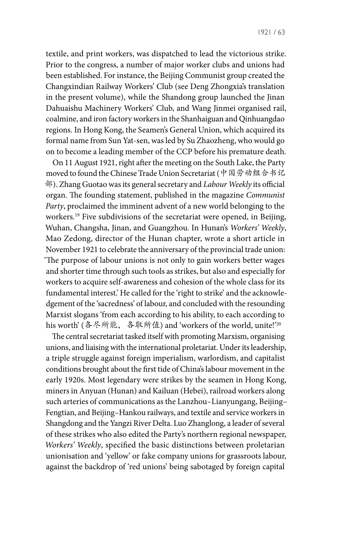textile, and print workers, was dispatched to lead the victorious strike. Prior to the congress, a number of major worker clubs and unions had been established. For instance, the Beijing Communist group created the Changxindian Railway Workers' Club (see Deng Zhongxia's translation in the present volume), while the Shandong group launched the Jinan Dahuaishu Machinery Workers' Club, and Wang Jinmei organised rail, coalmine, and iron factory workers in the Shanhaiguan and Qinhuangdao regions. In Hong Kong, the Seamen's General Union, which acquired its formal name from Sun Yat-sen, was led by Su Zhaozheng, who would go on to become a leading member of the CCP before his premature death.

On 11 August 1921, right after the meeting on the South Lake, the Party moved to found the Chinese Trade Union Secretariat (中国劳动组合书记 部). Zhang Guotao was its general secretary and *Labour Weekly* its official organ. The founding statement, published in the magazine *Communist Party*, proclaimed the imminent advent of a new world belonging to the workers.<sup>19</sup> Five subdivisions of the secretariat were opened, in Beijing, Wuhan, Changsha, Jinan, and Guangzhou. In Hunan's *Workers' Weekly*, Mao Zedong, director of the Hunan chapter, wrote a short article in November 1921 to celebrate the anniversary of the provincial trade union: 'The purpose of labour unions is not only to gain workers better wages and shorter time through such tools as strikes, but also and especially for workers to acquire self-awareness and cohesion of the whole class for its fundamental interest.' He called for the 'right to strike' and the acknowledgement of the 'sacredness' of labour, and concluded with the resounding Marxist slogans 'from each according to his ability, to each according to his worth' (各尽所能, 各取所值) and 'workers of the world, unite!'<sup>20</sup>

The central secretariat tasked itself with promoting Marxism, organising unions, and liaising with the international proletariat. Under its leadership, a triple struggle against foreign imperialism, warlordism, and capitalist conditions brought about the first tide of China's labour movement in the early 1920s. Most legendary were strikes by the seamen in Hong Kong, miners in Anyuan (Hunan) and Kailuan (Hebei), railroad workers along such arteries of communications as the Lanzhou–Lianyungang, Beijing– Fengtian, and Beijing–Hankou railways, and textile and service workers in Shangdong and the Yangzi River Delta. Luo Zhanglong, a leader of several of these strikes who also edited the Party's northern regional newspaper, *Workers' Weekly*, specified the basic distinctions between proletarian unionisation and 'yellow' or fake company unions for grassroots labour, against the backdrop of 'red unions' being sabotaged by foreign capital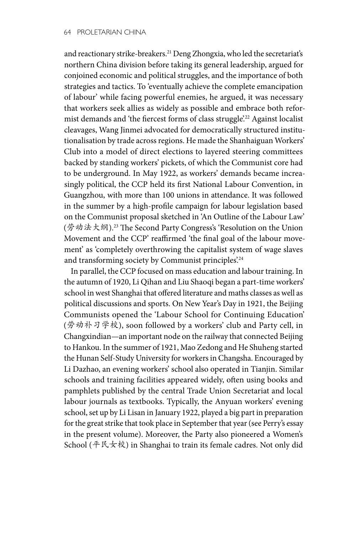and reactionary strike-breakers.21 Deng Zhongxia, who led the secretariat's northern China division before taking its general leadership, argued for conjoined economic and political struggles, and the importance of both strategies and tactics. To 'eventually achieve the complete emancipation of labour' while facing powerful enemies, he argued, it was necessary that workers seek allies as widely as possible and embrace both reformist demands and 'the fiercest forms of class struggle'.22 Against localist cleavages, Wang Jinmei advocated for democratically structured institutionalisation by trade across regions. He made the Shanhaiguan Workers' Club into a model of direct elections to layered steering committees backed by standing workers' pickets, of which the Communist core had to be underground. In May 1922, as workers' demands became increasingly political, the CCP held its first National Labour Convention, in Guangzhou, with more than 100 unions in attendance. It was followed in the summer by a high-profile campaign for labour legislation based on the Communist proposal sketched in 'An Outline of the Labour Law' (劳动法大纲).23 The Second Party Congress's 'Resolution on the Union Movement and the CCP' reaffirmed 'the final goal of the labour movement' as 'completely overthrowing the capitalist system of wage slaves and transforming society by Communist principles.<sup>24</sup>

In parallel, the CCP focused on mass education and labour training. In the autumn of 1920, Li Qihan and Liu Shaoqi began a part-time workers' school in west Shanghai that offered literature and maths classes as well as political discussions and sports. On New Year's Day in 1921, the Beijing Communists opened the 'Labour School for Continuing Education' (劳动补习学校), soon followed by a workers' club and Party cell, in Changxindian—an important node on the railway that connected Beijing to Hankou. In the summer of 1921, Mao Zedong and He Shuheng started the Hunan Self-Study University for workers in Changsha. Encouraged by Li Dazhao, an evening workers' school also operated in Tianjin. Similar schools and training facilities appeared widely, often using books and pamphlets published by the central Trade Union Secretariat and local labour journals as textbooks. Typically, the Anyuan workers' evening school, set up by Li Lisan in January 1922, played a big part in preparation for the great strike that took place in September that year (see Perry's essay in the present volume). Moreover, the Party also pioneered a Women's School (平民女校) in Shanghai to train its female cadres. Not only did